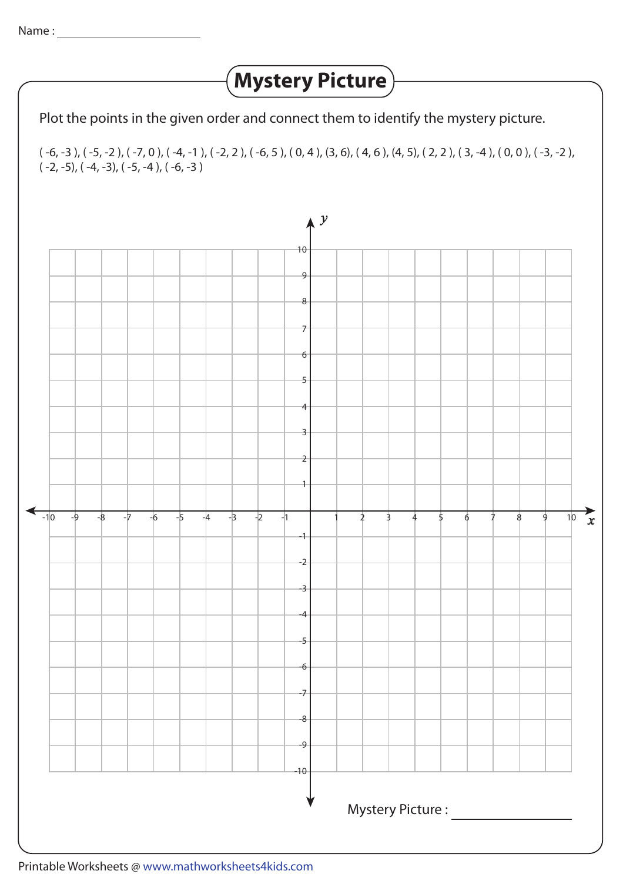## **Mystery Picture**

Plot the points in the given order and connect them to identify the mystery picture.

( -6, -3 ), ( -5, -2 ), ( -7, 0 ), ( -4, -1 ), ( -2, 2 ), ( -6, 5 ), ( 0, 4 ), (3, 6), ( 4, 6 ), (4, 5), ( 2, 2 ), ( 3, -4 ), ( 0, 0 ), ( -3, -2 ),  $(-2, -5)$ ,  $(-4, -3)$ ,  $(-5, -4)$ ,  $(-6, -3)$